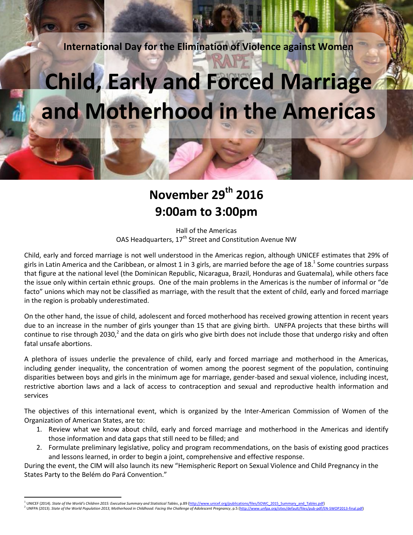**International Day for the Elimination of Violence against Women**

# **Child, Early and Forced Marriage and Motherhood in the Americas**

# **November 29th 2016 9:00am to 3:00pm**

Hall of the Americas OAS Headquarters, 17<sup>th</sup> Street and Constitution Avenue NW

Child, early and forced marriage is not well understood in the Americas region, although UNICEF estimates that 29% of girls in Latin America and the Caribbean, or almost 1 in 3 girls, are married before the age of 18.<sup>1</sup> Some countries surpass that figure at the national level (the Dominican Republic, Nicaragua, Brazil, Honduras and Guatemala), while others face the issue only within certain ethnic groups. One of the main problems in the Americas is the number of informal or "de facto" unions which may not be classified as marriage, with the result that the extent of child, early and forced marriage in the region is probably underestimated.

On the other hand, the issue of child, adolescent and forced motherhood has received growing attention in recent years due to an increase in the number of girls younger than 15 that are giving birth. UNFPA projects that these births will continue to rise through 2030,<sup>2</sup> and the data on girls who give birth does not include those that undergo risky and often fatal unsafe abortions.

A plethora of issues underlie the prevalence of child, early and forced marriage and motherhood in the Americas, including gender inequality, the concentration of women among the poorest segment of the population, continuing disparities between boys and girls in the minimum age for marriage, gender-based and sexual violence, including incest, restrictive abortion laws and a lack of access to contraception and sexual and reproductive health information and services

The objectives of this international event, which is organized by the Inter-American Commission of Women of the Organization of American States, are to:

- 1. Review what we know about child, early and forced marriage and motherhood in the Americas and identify those information and data gaps that still need to be filled; and
- 2. Formulate preliminary legislative, policy and program recommendations, on the basis of existing good practices and lessons learned, in order to begin a joint, comprehensive and effective response.

During the event, the CIM will also launch its new "Hemispheric Report on Sexual Violence and Child Pregnancy in the States Party to the Belém do Pará Convention."

 $\overline{a}$ 

<sup>1</sup> UNICEF (2014). State of the World's Children 2015: Executive Summary and Statistical Tables, p.89 (http://www.unicef.org/publications/files/SOWC\_2015\_Summary\_and\_Tables.pdf)<br>UNFPA (2013). State of the World Population 2013

<sup>2</sup> UNFPA (2013). *State of the World Population 2013, Motherhood in Childhood: Facing the Challenge of Adolescent Pregnancy*, p.5 [\(http://www.unfpa.org/sites/default/files/pub-pdf/EN-SWOP2013-final.pdf\)](http://www.unfpa.org/sites/default/files/pub-pdf/EN-SWOP2013-final.pdf)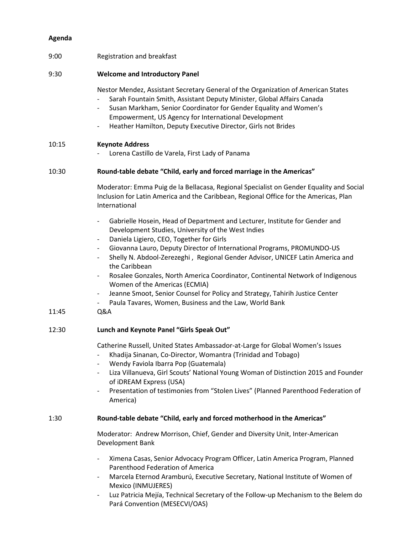#### **Agenda**

#### 9:00 Registration and breakfast

#### 9:30 **Welcome and Introductory Panel**

Nestor Mendez, Assistant Secretary General of the Organization of American States

- Sarah Fountain Smith, Assistant Deputy Minister, Global Affairs Canada
- Susan Markham, Senior Coordinator for Gender Equality and Women's Empowerment, US Agency for International Development
- Heather Hamilton, Deputy Executive Director, Girls not Brides

#### 10:15 **Keynote Address**

Lorena Castillo de Varela, First Lady of Panama

#### 10:30 **Round-table debate "Child, early and forced marriage in the Americas"**

Moderator: Emma Puig de la Bellacasa, Regional Specialist on Gender Equality and Social Inclusion for Latin America and the Caribbean, Regional Office for the Americas, Plan International

- Gabrielle Hosein, Head of Department and Lecturer, Institute for Gender and Development Studies, University of the West Indies
- Daniela Ligiero, CEO, Together for Girls
- Giovanna Lauro, Deputy Director of International Programs, PROMUNDO-US
- Shelly N. Abdool-Zerezeghi, Regional Gender Advisor, UNICEF Latin America and the Caribbean
- Rosalee Gonzales, North America Coordinator, Continental Network of Indigenous Women of the Americas (ECMIA)
- Jeanne Smoot, Senior Counsel for Policy and Strategy, Tahirih Justice Center
- Paula Tavares, Women, Business and the Law, World Bank

#### 11:45 Q&A

#### 12:30 **Lunch and Keynote Panel "Girls Speak Out"**

Catherine Russell, United States Ambassador-at-Large for Global Women's Issues

- Khadija Sinanan, Co-Director, Womantra (Trinidad and Tobago)
- Wendy Faviola Ibarra Pop (Guatemala)
- Liza Villanueva, Girl Scouts' National Young Woman of Distinction 2015 and Founder of iDREAM Express (USA)
- Presentation of testimonies from "Stolen Lives" (Planned Parenthood Federation of America)

#### 1:30 **Round-table debate "Child, early and forced motherhood in the Americas"**

Moderator: Andrew Morrison, Chief, Gender and Diversity Unit, Inter-American Development Bank

- Ximena Casas, Senior Advocacy Program Officer, Latin America Program, Planned Parenthood Federation of America
- Marcela Eternod Aramburú, Executive Secretary, National Institute of Women of Mexico (INMUJERES)
- Luz Patricia Mejía, Technical Secretary of the Follow-up Mechanism to the Belem do Pará Convention (MESECVI/OAS)